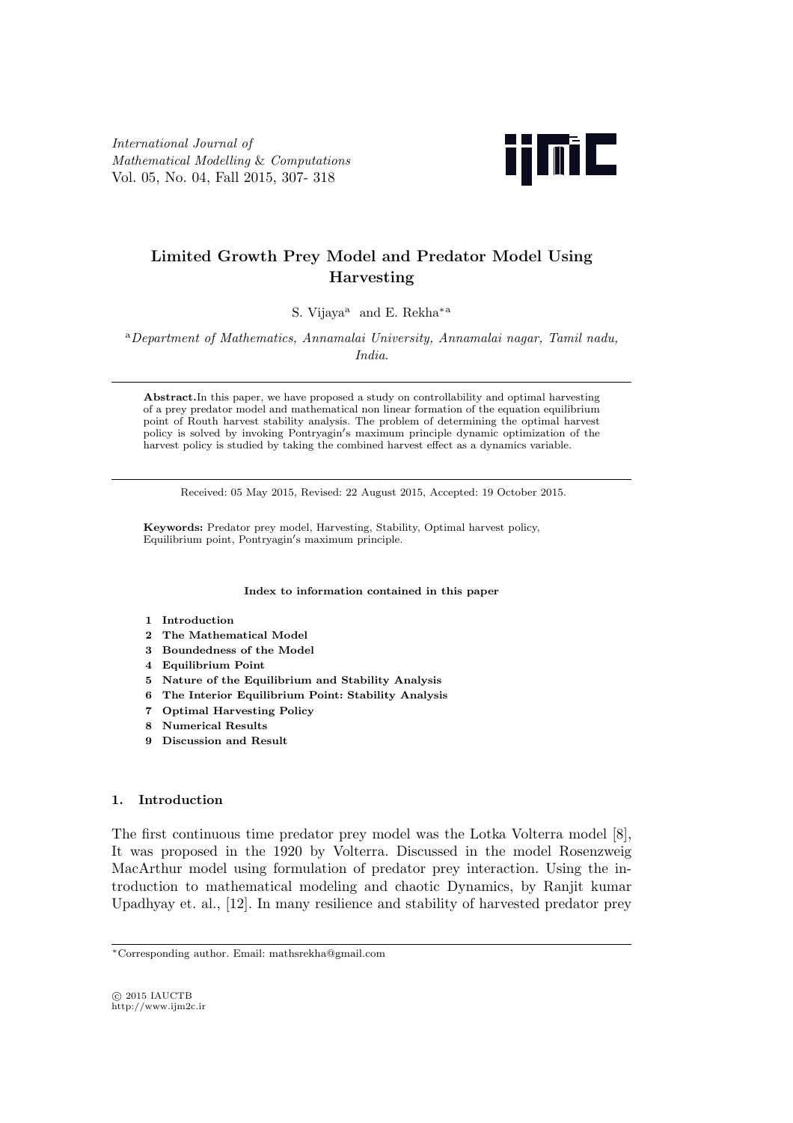*International Journal of Mathematical Modelling* & *Computations* Vol. 05, No. 04, Fall 2015, 307- 318



# **Limited Growth Prey Model and Predator Model Using Harvesting**

S. Vijaya<sup>a</sup> and E. Rekha*∗*<sup>a</sup>

<sup>a</sup>*Department of Mathematics, Annamalai University, Annamalai nagar, Tamil nadu, India*.

**Abstract.**In this paper, we have proposed a study on controllability and optimal harvesting of a prey predator model and mathematical non linear formation of the equation equilibrium point of Routh harvest stability analysis. The problem of determining the optimal harvest policy is solved by invoking Pontryagin*′* s maximum principle dynamic optimization of the harvest policy is studied by taking the combined harvest effect as a dynamics variable.

Received: 05 May 2015, Revised: 22 August 2015, Accepted: 19 October 2015.

**Keywords:** Predator prey model, Harvesting, Stability, Optimal harvest policy, Equilibrium point, Pontryagin*′* s maximum principle.

**Index to information contained in this paper**

#### **1 Introduction**

- **2 The Mathematical Model**
- **3 Boundedness of the Model**
- **4 Equilibrium Point**
- **5 Nature of the Equilibrium and Stability Analysis**
- **6 The Interior Equilibrium Point: Stability Analysis**
- **7 Optimal Harvesting Policy**
- **8 Numerical Results**
- **9 Discussion and Result**

## **1. Introduction**

The first continuous time predator prey model was the Lotka Volterra model [8], It was proposed in the 1920 by Volterra. Discussed in the model Rosenzweig MacArthur model using formulation of predator prey interaction. Using the introduction to mathematical modeling and chaotic Dynamics, by Ranjit kumar Upadhyay et. al., [12]. In many resilience and stability of harvested predator prey

*⃝*c 2015 IAUCTB http://www.ijm2c.ir

*<sup>∗</sup>*Corresponding author. Email: mathsrekha@gmail.com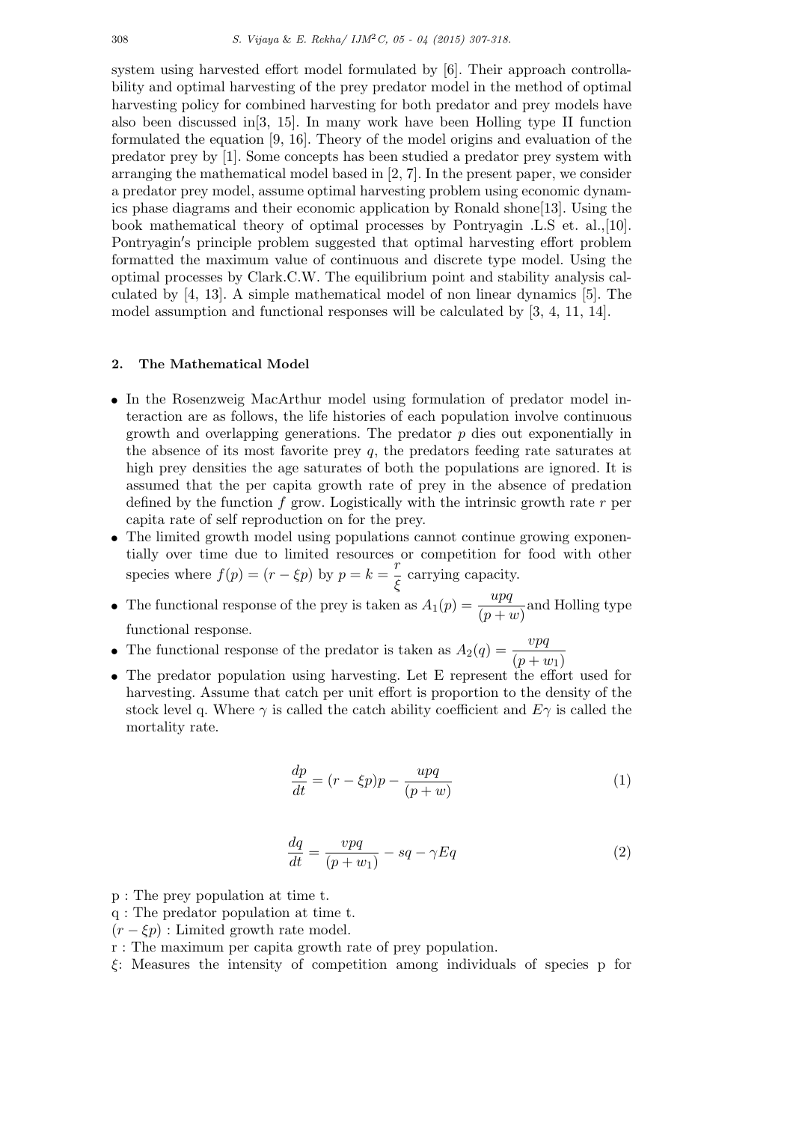system using harvested effort model formulated by [6]. Their approach controllability and optimal harvesting of the prey predator model in the method of optimal harvesting policy for combined harvesting for both predator and prey models have also been discussed in[3, 15]. In many work have been Holling type II function formulated the equation [9, 16]. Theory of the model origins and evaluation of the predator prey by [1]. Some concepts has been studied a predator prey system with arranging the mathematical model based in [2, 7]. In the present paper, we consider a predator prey model, assume optimal harvesting problem using economic dynamics phase diagrams and their economic application by Ronald shone[13]. Using the book mathematical theory of optimal processes by Pontryagin .L.S et. al.,[10]. Pontryagin*′* s principle problem suggested that optimal harvesting effort problem formatted the maximum value of continuous and discrete type model. Using the optimal processes by Clark.C.W. The equilibrium point and stability analysis calculated by [4, 13]. A simple mathematical model of non linear dynamics [5]. The model assumption and functional responses will be calculated by [3, 4, 11, 14].

# **2. The Mathematical Model**

- *•* In the Rosenzweig MacArthur model using formulation of predator model interaction are as follows, the life histories of each population involve continuous growth and overlapping generations. The predator *p* dies out exponentially in the absence of its most favorite prey *q,* the predators feeding rate saturates at high prey densities the age saturates of both the populations are ignored. It is assumed that the per capita growth rate of prey in the absence of predation defined by the function *f* grow. Logistically with the intrinsic growth rate *r* per capita rate of self reproduction on for the prey.
- The limited growth model using populations cannot continue growing exponentially over time due to limited resources or competition for food with other species where  $f(p) = (r - \xi p)$  by  $p = k = \frac{r}{\xi}$  $\frac{7}{5}$  carrying capacity.
- The functional response of the prey is taken as  $A_1(p) = \frac{upq}{(p+w)}$  and Holling type functional response.
- The functional response of the predator is taken as  $A_2(q) = \frac{vpq}{(p+w_1)}$
- The predator population using harvesting. Let E represent the effort used for harvesting. Assume that catch per unit effort is proportion to the density of the stock level q. Where  $\gamma$  is called the catch ability coefficient and  $E\gamma$  is called the mortality rate.

$$
\frac{dp}{dt} = (r - \xi p)p - \frac{upq}{(p+w)}\tag{1}
$$

$$
\frac{dq}{dt} = \frac{vpq}{(p+w_1)} - sq - \gamma Eq \tag{2}
$$

- p : The prey population at time t.
- q : The predator population at time t.
- $(r \xi p)$ : Limited growth rate model.
- r : The maximum per capita growth rate of prey population.
- *ξ*: Measures the intensity of competition among individuals of species p for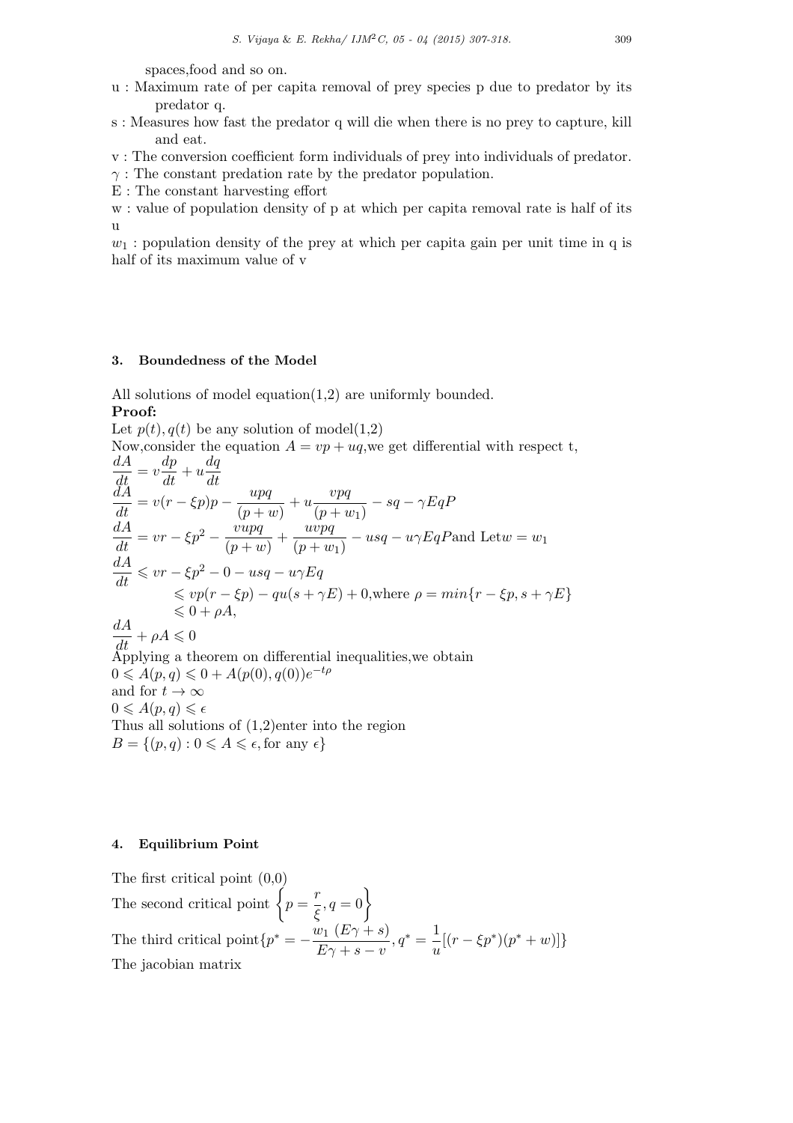spaces,food and so on.

- u : Maximum rate of per capita removal of prey species p due to predator by its predator q.
- s : Measures how fast the predator q will die when there is no prey to capture, kill and eat.
- v : The conversion coefficient form individuals of prey into individuals of predator.
- *γ* : The constant predation rate by the predator population.
- E : The constant harvesting effort

w : value of population density of p at which per capita removal rate is half of its u

 $w_1$ : population density of the prey at which per capita gain per unit time in q is half of its maximum value of v

# **3. Boundedness of the Model**

All solutions of model equation(1,2) are uniformly bounded. **Proof:**

Let  $p(t)$ ,  $q(t)$  be any solution of model(1,2) Now, consider the equation  $A = vp + uq$ , we get differential with respect t,  $\frac{dA}{dt} = v\frac{dp}{dt} + u\frac{dq}{dt}$ *dt*  $\frac{dA}{dt} = v(r - \xi p)p - \frac{upq}{(p + i)}$  $\frac{upq}{(p+w)} + u\frac{vpq}{(p+u)}$  $\frac{\partial P}{\partial (p+w_1)} - sq - \gamma EqP$  $\frac{dA}{dt} = vr - \xi p^2 - \frac{vupq}{(p+u)}$  $\frac{vupq}{(p+w)} + \frac{uvpq}{(p+w)}$  $\frac{w \cdot pq}{(p+w_1)} - usq - u\gamma EqP$  and Let  $w = w_1$  $\frac{dA}{dt} \leqslant vr - \xi p^2 - 0 - usq - u\gamma Eq$  $\leqslant vp(r - \xi p) - qu(s + \gamma E) + 0$ , where  $\rho = min\{r - \xi p, s + \gamma E\}$  $\leq 0 + \rho A$ .  $\frac{dA}{dt} + \rho A \leqslant 0$ Applying a theorem on differential inequalities,we obtain  $0 \leq A(p,q) \leq 0 + A(p(0), q(0))e^{-t\rho}$ and for  $t \to \infty$  $0 \leqslant A(p,q) \leqslant \epsilon$ Thus all solutions of (1,2)enter into the region  $B = \{(p, q) : 0 \leq A \leq \epsilon, \text{for any } \epsilon\}$ 

# **4. Equilibrium Point**

The first critical point (0,0) The second critical point  $\left\{p=\frac{r}{\epsilon}\right\}$  $\left\{\frac{r}{\xi}, q=0\right\}$ The third critical point ${p^* = -\frac{w_1 (E\gamma + s)}{E}}$  $\frac{v_1 (E\gamma + s)}{E\gamma + s - v}, q^* = \frac{1}{u}$  $\frac{1}{u}[(r - \xi p^*)(p^* + w)]$ The jacobian matrix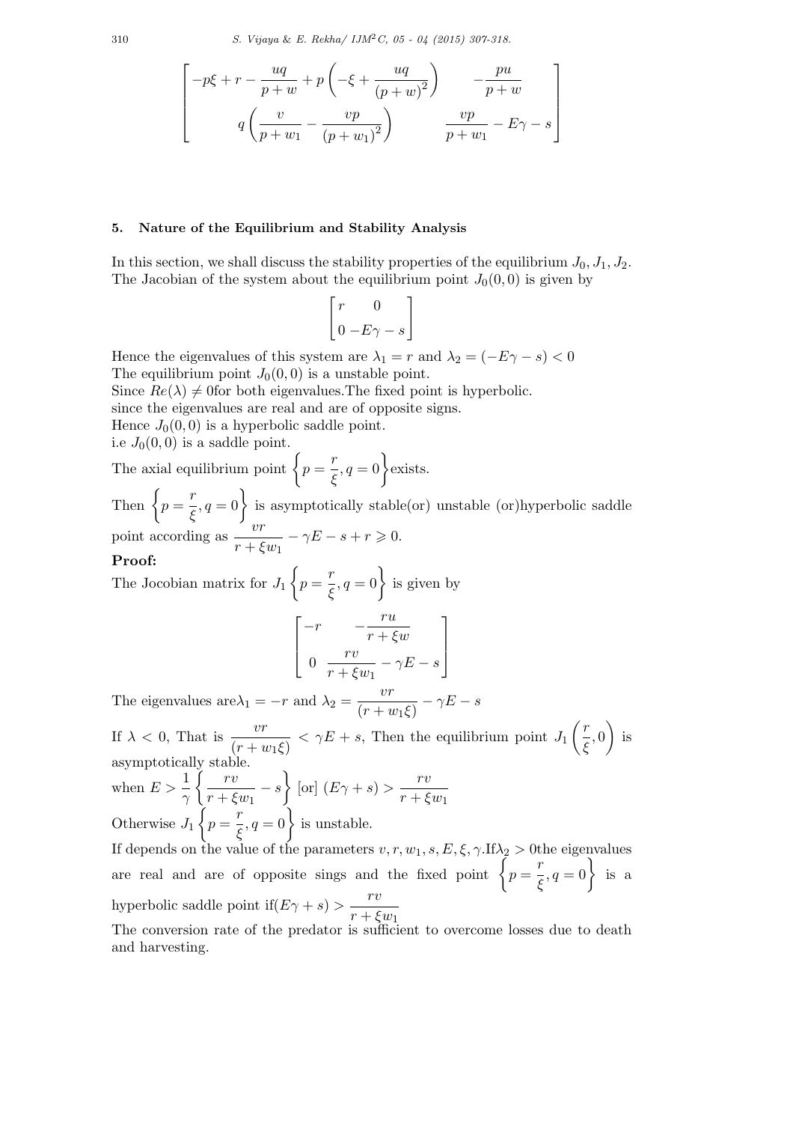310 *S. Vijaya* & *E. Rekha/ IJM*2*C, 05 - 04 (2015) 307-318.*

ן  $\left| \right|$  $\frac{1}{2}$  $\mathbf{I}$  $\mathbf{I}$ 

$$
\left[ \begin{array}{cc} -p\xi +r-\displaystyle\frac{uq}{p+w}+p\left(-\xi+\displaystyle\frac{uq}{\left(p+w\right)^{2}}\right) & -\displaystyle\frac{pu}{p+w} \\[12pt] q\left(\displaystyle\frac{v}{p+w_{1}}-\displaystyle\frac{vp}{\left(p+w_{1}\right)^{2}}\right) & \displaystyle\frac{vp}{p+w_{1}}-E\gamma-s \end{array} \right.
$$

## **5. Nature of the Equilibrium and Stability Analysis**

In this section, we shall discuss the stability properties of the equilibrium  $J_0, J_1, J_2$ . The Jacobian of the system about the equilibrium point  $J_0(0,0)$  is given by

$$
\begin{bmatrix} r & 0 \\ 0 & -E\gamma - s \end{bmatrix}
$$

Hence the eigenvalues of this system are  $\lambda_1 = r$  and  $\lambda_2 = (-E\gamma - s) < 0$ The equilibrium point  $J_0(0,0)$  is a unstable point.

Since  $Re(\lambda) \neq 0$  for both eigenvalues. The fixed point is hyperbolic.

since the eigenvalues are real and are of opposite signs.

Hence  $J_0(0,0)$  is a hyperbolic saddle point.

i.e  $J_0(0,0)$  is a saddle point.

The axial equilibrium point  $\begin{cases} p = \frac{r}{6} \end{cases}$  $\left(\frac{r}{\xi}, q=0\right)$  exists.

Then  $\left\{p=\frac{r}{\epsilon}\right\}$  $\left\{\frac{r}{\xi}, q=0\right\}$  is asymptotically stable(or) unstable (or)hyperbolic saddle point according as  $\frac{v}{x}$  $\frac{c}{r + \xi w_1} - \gamma E - s + r \geq 0.$ 

## **Proof:**

The Jocobian matrix for *J*<sup>1</sup>  $\sqrt{ }$  $p = \frac{r}{z}$  $\left\{\frac{r}{\xi}, q=0\right\}$  is given by ן

$$
\begin{bmatrix}\n-r & -\frac{ru}{r + \xi w} \\
0 & \frac{rv}{r + \xi w_1} - \gamma E - s\n\end{bmatrix}
$$

The eigenvalues are  $\lambda_1 = -r$  and  $\lambda_2 = \frac{vr}{\sqrt{r^2 + r^2}}$  $\frac{c}{(r+w_1\xi)} - \gamma E - s$ 

If  $\lambda < 0$ , That is  $\frac{vr}{\sqrt{1-r}}$  $\frac{\partial f}{\partial (r + w_1 \xi)}$  <  $\gamma E + s$ , Then the equilibrium point *J*<sub>1</sub> ( *r ξ ,* 0  $\setminus$ is asymptotically stable. when  $E > \frac{1}{\gamma}$  $\int r v$  $\frac{r}{r + \xi w_1} - s$  $\mathcal{L}$  $\lbrack \text{or} \rbrack (E\gamma + s) > \frac{rv}{\sqrt{r}}$ *r* + *ξw*<sup>1</sup> Otherwise *J*<sup>1</sup>  $\lambda$  $p = \frac{r}{\epsilon}$  $\left(\frac{r}{\xi}, q=0\right)$  is unstable. If depends on the value of the parameters  $v, r, w_1, s, E, \xi, \gamma$ .If $\lambda_2 > 0$ the eigenvalues are real and are of opposite sings and the fixed point  $\begin{cases} p = \frac{r}{6} \end{cases}$  $\left\{\frac{r}{\xi}, q=0\right\}$  is a hyperbolic saddle point if $(E\gamma + s) > \frac{rv}{\sqrt{s}}$ 

*r* + *ξw*<sup>1</sup> The conversion rate of the predator is sufficient to overcome losses due to death and harvesting.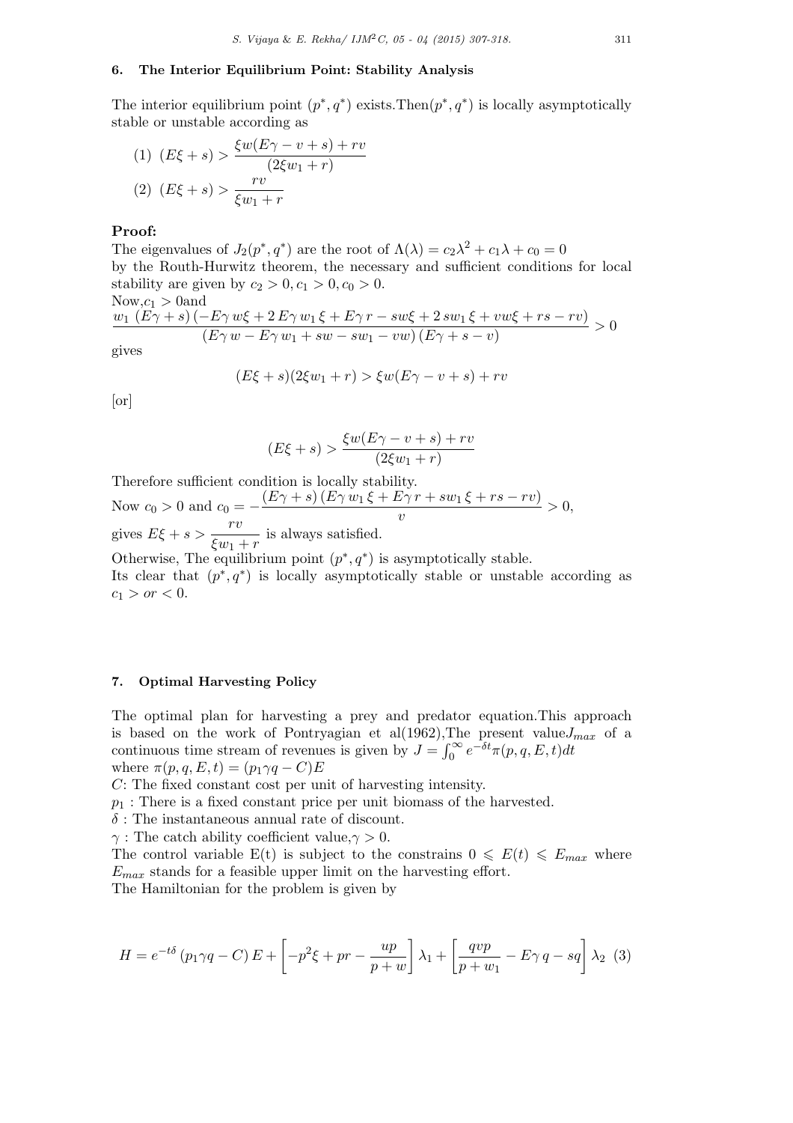## **6. The Interior Equilibrium Point: Stability Analysis**

The interior equilibrium point  $(p^*, q^*)$  exists. Then $(p^*, q^*)$  is locally asymptotically stable or unstable according as

(1) 
$$
(E\xi + s) > \frac{\xi w(E\gamma - v + s) + rv}{(2\xi w_1 + r)}
$$
  
(2)  $(E\xi + s) > \frac{rv}{\xi w_1 + r}$ 

## **Proof:**

The eigenvalues of  $J_2(p^*, q^*)$  are the root of  $\Lambda(\lambda) = c_2\lambda^2 + c_1\lambda + c_0 = 0$ by the Routh-Hurwitz theorem, the necessary and sufficient conditions for local stability are given by  $c_2 > 0, c_1 > 0, c_0 > 0$ .  $Now, c_1 > 0$  and

$$
\frac{w_1\left(E\gamma+s\right)\left(-E\gamma w\xi+2 E\gamma w_1\xi+E\gamma r-s w\xi+2 s w_1\xi+vw\xi+rs-rv\right)}{\left(E\gamma w-E\gamma w_1+sw-s w_1-v w\right)\left(E\gamma+s-v\right)} > 0
$$

gives

$$
(E\xi + s)(2\xi w_1 + r) > \xi w(E\gamma - v + s) + rv
$$

[or]

$$
(E\xi + s) > \frac{\xi w (E\gamma - v + s) + rv}{(2\xi w_1 + r)}
$$

Therefore sufficient condition is locally stability.

Now  $c_0 > 0$  and  $c_0 = -\frac{(E\gamma + s)(E\gamma w_1 \xi + E\gamma r + sw_1 \xi + rs - rv)}{r}$  $\frac{v}{v} > 0$ , gives  $E\xi + s > \frac{rv}{\zeta}$  $\frac{r}{\xi w_1 + r}$  is always satisfied. Otherwise, The equilibrium point  $(p^*, q^*)$  is asymptotically stable.

Its clear that  $(p^*, q^*)$  is locally asymptotically stable or unstable according as  $c_1 > or < 0$ .

# **7. Optimal Harvesting Policy**

The optimal plan for harvesting a prey and predator equation.This approach is based on the work of Pontryagian et al(1962), The present value  $J_{max}$  of a continuous time stream of revenues is given by  $J = \int_0^\infty e^{-\delta t} \pi(p, q, E, t) dt$ where  $\pi(p, q, E, t) = (p_1 \gamma q - C)E$ 

*C*: The fixed constant cost per unit of harvesting intensity.

 $p_1$ : There is a fixed constant price per unit biomass of the harvested.

*δ* : The instantaneous annual rate of discount.

*γ* : The catch ability coefficient value,*γ >* 0*.*

The control variable  $E(t)$  is subject to the constrains  $0 \leqslant E(t) \leqslant E_{max}$  where *Emax* stands for a feasible upper limit on the harvesting effort.

The Hamiltonian for the problem is given by

$$
H = e^{-t\delta} (p_1 \gamma q - C) E + \left[ -p^2 \xi + pr - \frac{up}{p+w} \right] \lambda_1 + \left[ \frac{qvp}{p+w_1} - E \gamma q - sq \right] \lambda_2 \tag{3}
$$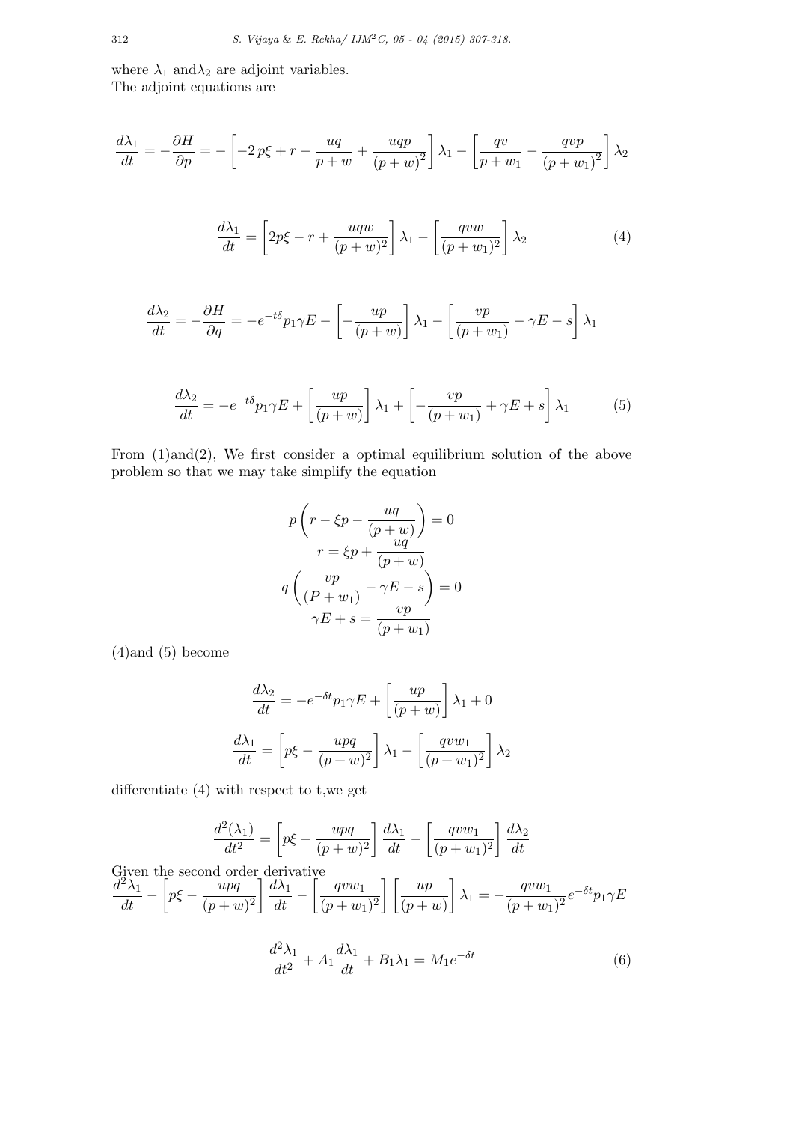where  $\lambda_1$  and $\lambda_2$  are adjoint variables. The adjoint equations are

$$
\frac{d\lambda_1}{dt} = -\frac{\partial H}{\partial p} = -\left[ -2p\xi + r - \frac{uq}{p+w} + \frac{uqp}{(p+w)^2} \right] \lambda_1 - \left[ \frac{qv}{p+w_1} - \frac{qvp}{(p+w_1)^2} \right] \lambda_2
$$

$$
\frac{d\lambda_1}{dt} = \left[2p\xi - r + \frac{uqw}{(p+w)^2}\right]\lambda_1 - \left[\frac{qvw}{(p+w_1)^2}\right]\lambda_2\tag{4}
$$

$$
\frac{d\lambda_2}{dt} = -\frac{\partial H}{\partial q} = -e^{-t\delta}p_1\gamma E - \left[-\frac{up}{(p+w)}\right]\lambda_1 - \left[\frac{vp}{(p+w_1)} - \gamma E - s\right]\lambda_1
$$

$$
\frac{d\lambda_2}{dt} = -e^{-t\delta}p_1\gamma E + \left[\frac{up}{(p+w)}\right]\lambda_1 + \left[-\frac{vp}{(p+w_1)} + \gamma E + s\right]\lambda_1\tag{5}
$$

From (1)and(2), We first consider a optimal equilibrium solution of the above problem so that we may take simplify the equation

$$
p\left(r - \xi p - \frac{uq}{(p+w)}\right) = 0
$$

$$
r = \xi p + \frac{uq}{(p+w)}
$$

$$
q\left(\frac{vp}{(P+w_1)} - \gamma E - s\right) = 0
$$

$$
\gamma E + s = \frac{vp}{(p+w_1)}
$$

(4)and (5) become

$$
\frac{d\lambda_2}{dt} = -e^{-\delta t}p_1\gamma E + \left[\frac{up}{(p+w)}\right]\lambda_1 + 0
$$

$$
\frac{d\lambda_1}{dt} = \left[p\xi - \frac{upq}{(p+w)^2}\right]\lambda_1 - \left[\frac{qvw_1}{(p+w_1)^2}\right]\lambda_2
$$

differentiate (4) with respect to t,we get

$$
\frac{d^2(\lambda_1)}{dt^2} = \left[ p\xi - \frac{upq}{(p+w)^2} \right] \frac{d\lambda_1}{dt} - \left[ \frac{qvw_1}{(p+w_1)^2} \right] \frac{d\lambda_2}{dt}
$$
  
Given the second order derivative

Given the second order derivative  
\n
$$
\frac{d^2\lambda_1}{dt} - \left[p\xi - \frac{wpq}{(p+w)^2}\right] \frac{d\lambda_1}{dt} - \left[\frac{qvw_1}{(p+w_1)^2}\right] \left[\frac{up}{(p+w)}\right] \lambda_1 = -\frac{qvw_1}{(p+w_1)^2} e^{-\delta t} p_1 \gamma E
$$

$$
\frac{d^2\lambda_1}{dt^2} + A_1 \frac{d\lambda_1}{dt} + B_1 \lambda_1 = M_1 e^{-\delta t}
$$
\n<sup>(6)</sup>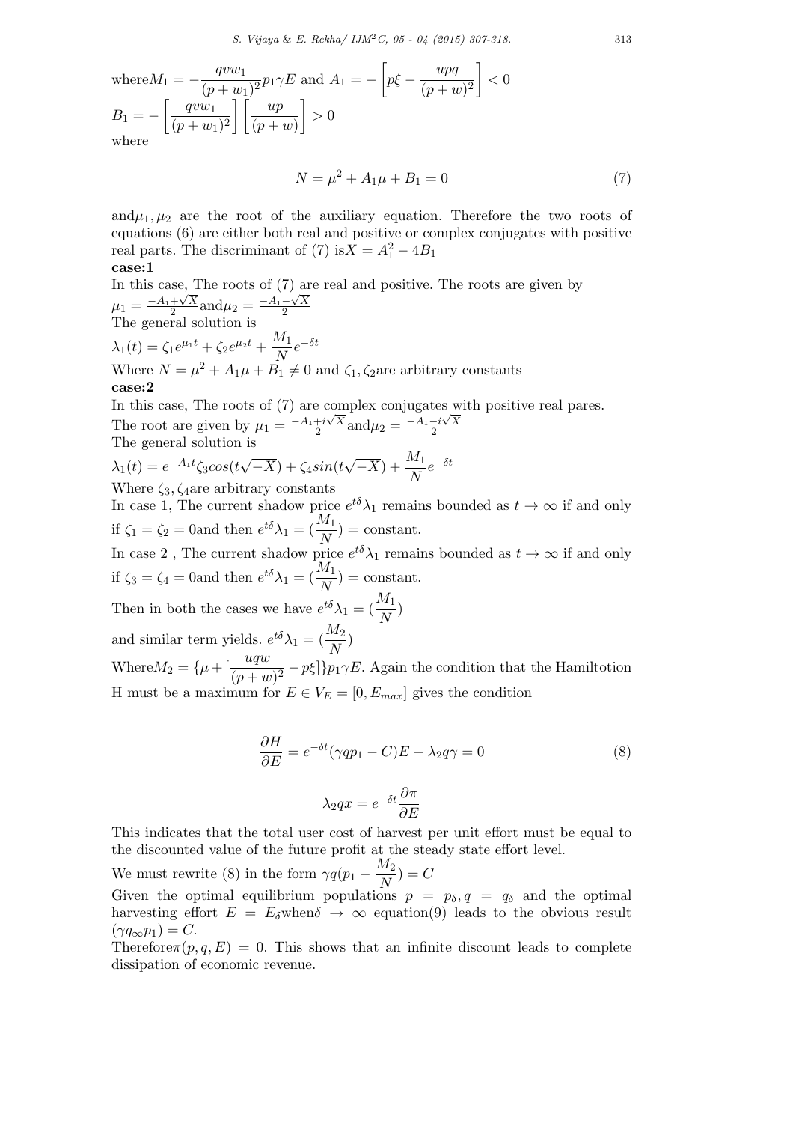where 
$$
M_1 = -\frac{qvw_1}{(p+w_1)^2}p_1\gamma E
$$
 and  $A_1 = -\left[p\xi - \frac{wpq}{(p+w)^2}\right] < 0$   
\n $B_1 = -\left[\frac{qvw_1}{(p+w_1)^2}\right] \left[\frac{up}{(p+w)}\right] > 0$   
\nwhere

$$
N = \mu^2 + A_1 \mu + B_1 = 0 \tag{7}
$$

and $\mu_1, \mu_2$  are the root of the auxiliary equation. Therefore the two roots of equations (6) are either both real and positive or complex conjugates with positive real parts. The discriminant of (7) is $X = A_1^2 - 4B_1$ 

$$
_{\rm case:1}
$$

In this case, The roots of (7) are real and positive. The roots are given by  $\mu_1 = \frac{-A_1 + \sqrt{X}}{2}$  $\frac{+\sqrt{X}}{2}$  and  $\mu_2 = \frac{-A_1 - \sqrt{X}}{2}$ 2 The general solution is  $\lambda_1(t) = \zeta_1 e^{\mu_1 t} + \zeta_2 e^{\mu_2 t} + \frac{M_1}{N}$  $\frac{M_1}{N}e^{-δt}$ Where  $N = \mu^2 + A_1\mu + B_1 \neq 0$  and  $\zeta_1, \zeta_2$  are arbitrary constants **case:2**

In this case, The roots of (7) are complex conjugates with positive real pares. The root are given by  $\mu_1 = \frac{-A_1 + i\sqrt{X}}{2}$  $\frac{1+i\sqrt{X}}{2}$  and  $\mu_2 = \frac{-A_1 - i\sqrt{X}}{2}$ 2 The general solution is

 $\lambda_1(t) = e^{-A_1 t} \zeta_3 \cos(t)$ *√ −X*) + *ζ*4*sin*(*t*  $\sqrt{-X}$ ) +  $\frac{M_1}{N}e^{-\delta t}$ Where *ζ*3*, ζ*4are arbitrary constants

In case 1, The current shadow price  $e^{t\delta}\lambda_1$  remains bounded as  $t \to \infty$  if and only if  $\zeta_1 = \zeta_2 = 0$  and then  $e^{t\delta}\lambda_1 = \left(\frac{M_1}{N}\right) = \text{constant}$ .

In case 2, The current shadow price  $e^{t\delta}\lambda_1$  remains bounded as  $t \to \infty$  if and only if  $\zeta_3 = \zeta_4 = 0$  and then  $e^{t\delta}\lambda_1 = \left(\frac{M_1}{N}\right) = \text{constant}$ .

Then in both the cases we have 
$$
e^{t\delta}\lambda_1 = (\frac{M_1}{N})
$$
  
and similar term yields  $e^{t\delta}\lambda_1 = (\frac{M_2}{N})$ 

and similar term yields.  $e^{t\delta}\lambda_1 = \left(\frac{M_2}{N}\right)^t$ Where  $M_2 = {\mu + [\frac{uqw}{(p+w)^2} - p\xi]}$  *p*<sub>1</sub>*γE*. Again the condition that the Hamiltotion

H must be a maximum for  $E \in V_E = [0, E_{max}]$  gives the condition

$$
\frac{\partial H}{\partial E} = e^{-\delta t} (\gamma qp_1 - C)E - \lambda_2 q \gamma = 0
$$
\n
$$
\lambda_2 qx = e^{-\delta t} \frac{\partial \pi}{\partial E}
$$
\n(8)

This indicates that the total user cost of harvest per unit effort must be equal to the discounted value of the future profit at the steady state effort level.

*∂E*

We must rewrite (8) in the form  $\gamma q(p_1 - \frac{M_2}{N_1})$  $\left(\frac{M_2}{N}\right) = C$ 

Given the optimal equilibrium populations  $p = p_{\delta}, q = q_{\delta}$  and the optimal harvesting effort  $E = E_{\delta}$ when $\delta \to \infty$  equation(9) leads to the obvious result  $(\gamma q_\infty p_1) = C.$ 

Therefore $\pi(p,q,E) = 0$ . This shows that an infinite discount leads to complete dissipation of economic revenue.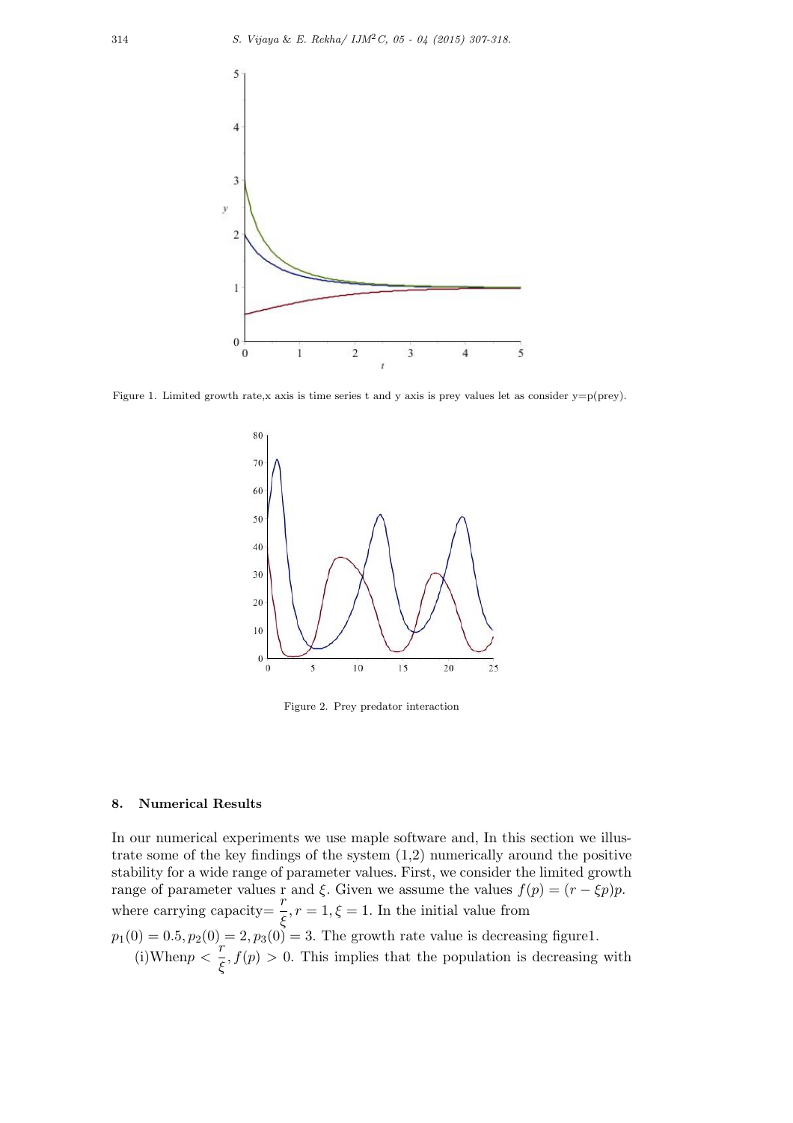

Figure 1. Limited growth rate,x axis is time series t and y axis is prey values let as consider y=p(prey).



Figure 2. Prey predator interaction

## **8. Numerical Results**

In our numerical experiments we use maple software and, In this section we illustrate some of the key findings of the system  $(1,2)$  numerically around the positive stability for a wide range of parameter values. First, we consider the limited growth range of parameter values r and  $\xi$ . Given we assume the values  $f(p) = (r - \xi p)p$ . where carrying capacity=  $\frac{r}{\xi}$ ,  $r = 1$ ,  $\xi = 1$ . In the initial value from  $p_1(0) = 0.5, p_2(0) = 2, p_3(0) = 3$ . The growth rate value is decreasing figure1. (i)When $p < \frac{r}{\epsilon}$  $\frac{f}{\xi}$ ,  $f(p) > 0$ . This implies that the population is decreasing with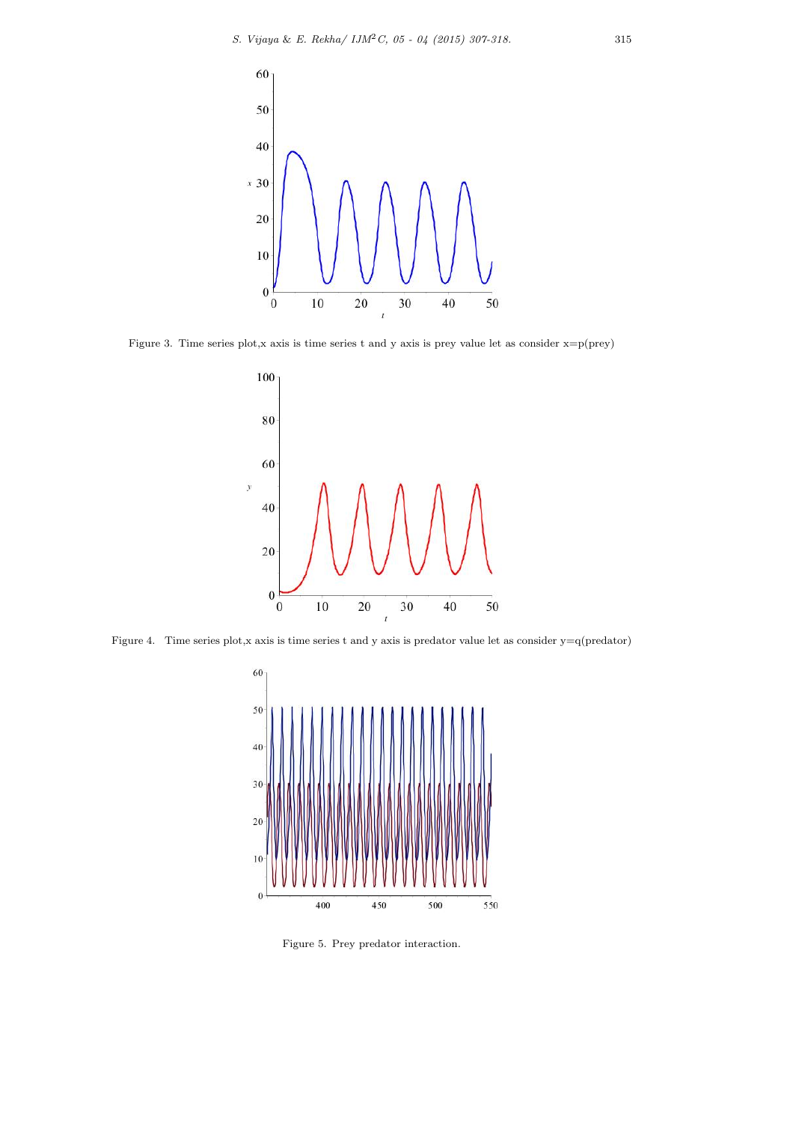

Figure 3. Time series plot,x axis is time series t and y axis is prey value let as consider  $x = p(prey)$ 



Figure 4. Time series plot,x axis is time series t and y axis is predator value let as consider y=q(predator)



Figure 5. Prey predator interaction.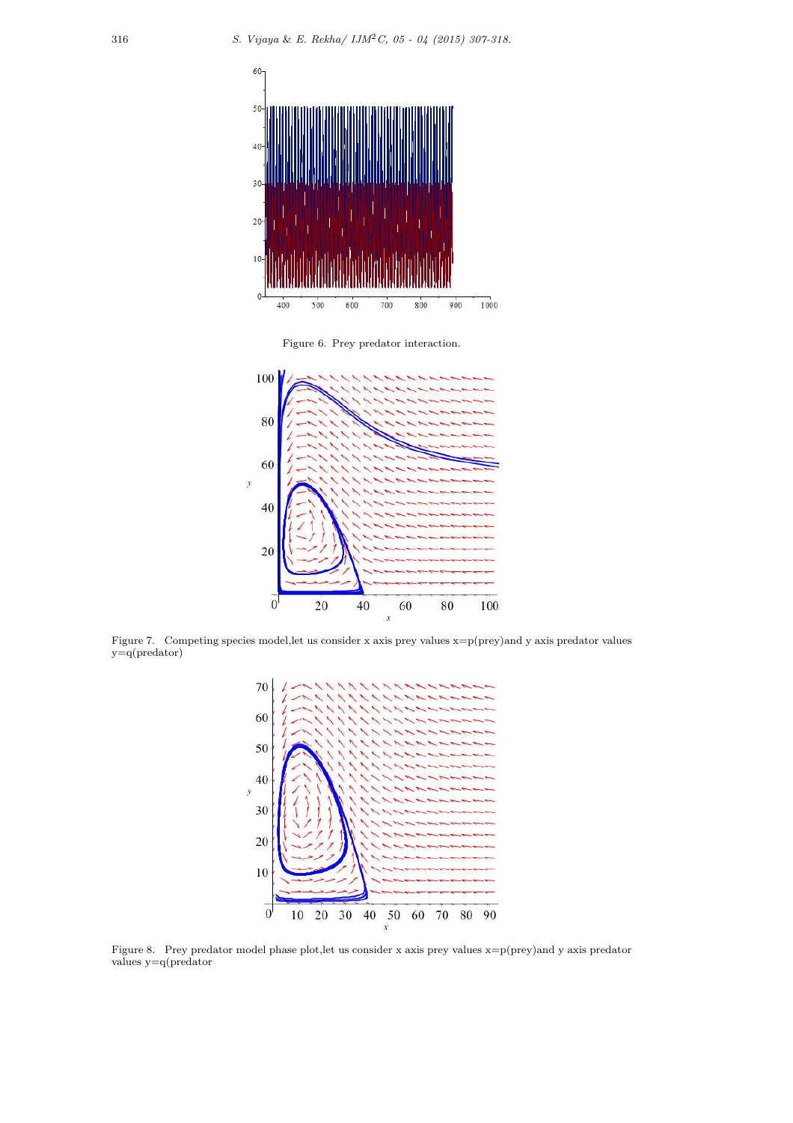

Figure 6. Prey predator interaction.



Figure 7. Competing species model,let us consider x axis prey values x=p(prey)and y axis predator values  $y=q(predator)$ 



Figure 8. Prey predator model phase plot,let us consider x axis prey values x=p(prey)and y axis predator values y=q(predator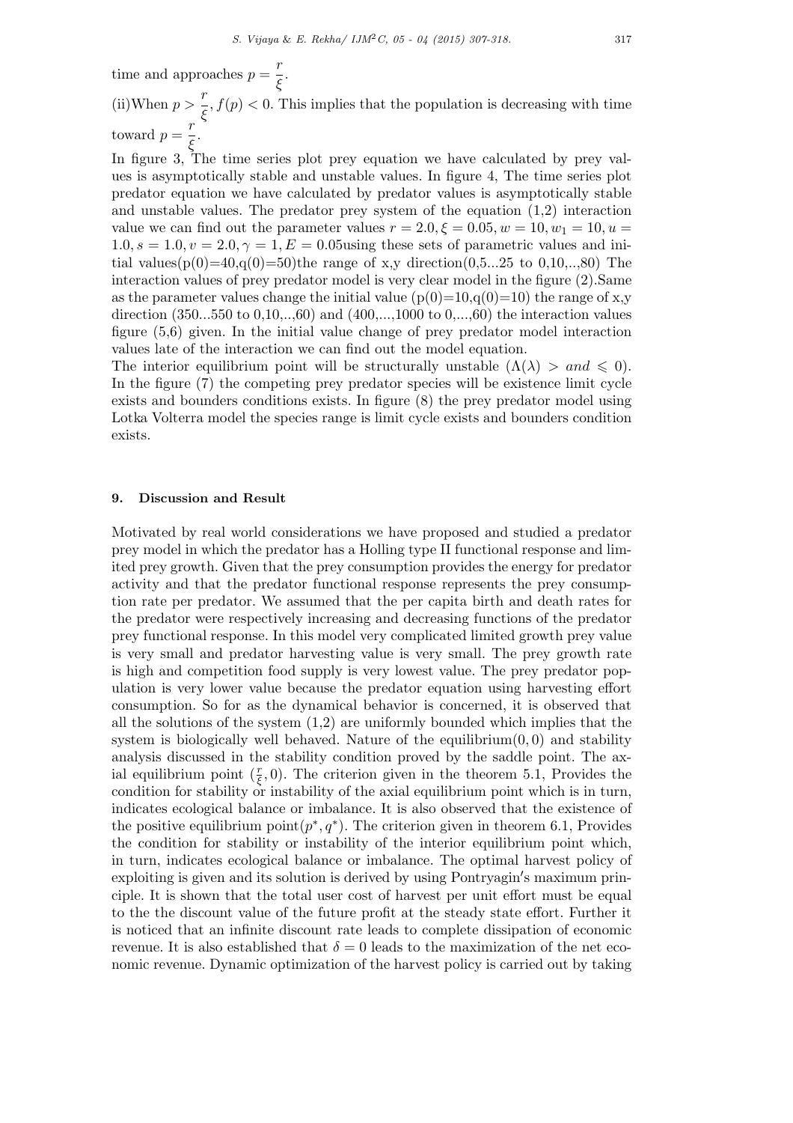time and approaches  $p = \frac{r}{6}$ *ξ .*

(ii)When  $p > \frac{r}{\epsilon}$  $\frac{f}{\xi}$ ,  $f(p) < 0$ . This implies that the population is decreasing with time toward  $p = \frac{r}{\epsilon}$ *ξ .*

In figure 3, The time series plot prey equation we have calculated by prey values is asymptotically stable and unstable values. In figure 4, The time series plot predator equation we have calculated by predator values is asymptotically stable and unstable values. The predator prey system of the equation (1,2) interaction value we can find out the parameter values  $r = 2.0, \xi = 0.05, w = 10, w_1 = 10, u =$  $1.0, s = 1.0, v = 2.0, \gamma = 1, E = 0.05$ using these sets of parametric values and initial values( $p(0)=40, q(0)=50$ )the range of x,y direction(0,5...25 to 0,10,...,80) The interaction values of prey predator model is very clear model in the figure (2).Same as the parameter values change the initial value  $(p(0)=10,q(0)=10)$  the range of x,y direction (350...550 to 0,10,..,60) and (400,...,1000 to 0,...,60) the interaction values figure (5,6) given. In the initial value change of prey predator model interaction values late of the interaction we can find out the model equation.

The interior equilibrium point will be structurally unstable  $(\Lambda(\lambda) > and \leq 0)$ . In the figure (7) the competing prey predator species will be existence limit cycle exists and bounders conditions exists. In figure (8) the prey predator model using Lotka Volterra model the species range is limit cycle exists and bounders condition exists.

## **9. Discussion and Result**

Motivated by real world considerations we have proposed and studied a predator prey model in which the predator has a Holling type II functional response and limited prey growth. Given that the prey consumption provides the energy for predator activity and that the predator functional response represents the prey consumption rate per predator. We assumed that the per capita birth and death rates for the predator were respectively increasing and decreasing functions of the predator prey functional response. In this model very complicated limited growth prey value is very small and predator harvesting value is very small. The prey growth rate is high and competition food supply is very lowest value. The prey predator population is very lower value because the predator equation using harvesting effort consumption. So for as the dynamical behavior is concerned, it is observed that all the solutions of the system  $(1,2)$  are uniformly bounded which implies that the system is biologically well behaved. Nature of the equilibrium(0*,* 0) and stability analysis discussed in the stability condition proved by the saddle point. The axial equilibrium point  $(\frac{r}{\xi}, 0)$ . The criterion given in the theorem 5.1, Provides the condition for stability or instability of the axial equilibrium point which is in turn, indicates ecological balance or imbalance. It is also observed that the existence of the positive equilibrium  $point(p^*, q^*)$ . The criterion given in theorem 6.1, Provides the condition for stability or instability of the interior equilibrium point which, in turn, indicates ecological balance or imbalance. The optimal harvest policy of exploiting is given and its solution is derived by using Pontryagin*′* s maximum principle. It is shown that the total user cost of harvest per unit effort must be equal to the the discount value of the future profit at the steady state effort. Further it is noticed that an infinite discount rate leads to complete dissipation of economic revenue. It is also established that  $\delta = 0$  leads to the maximization of the net economic revenue. Dynamic optimization of the harvest policy is carried out by taking